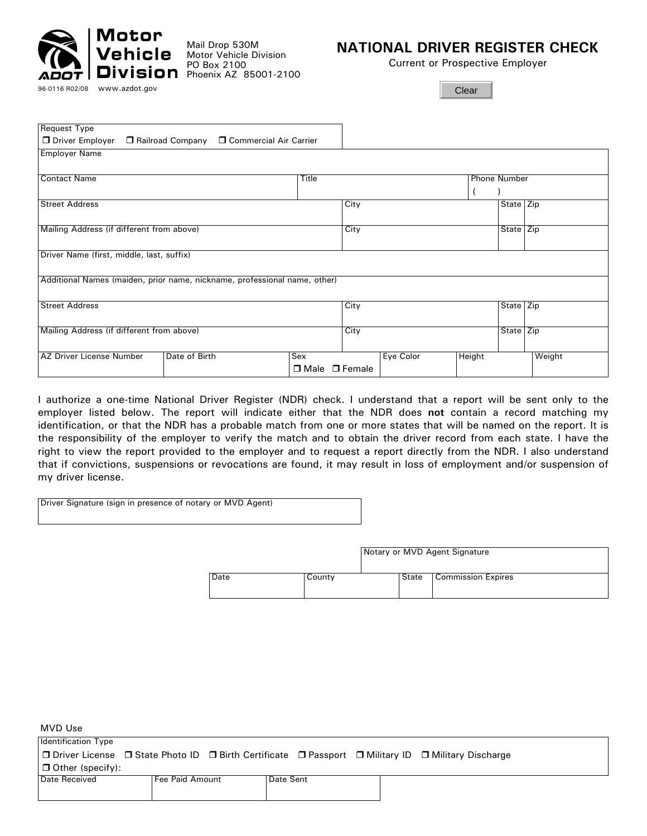

Mail Drop 530M Motor Vehicle Division PO Box 2100 Phoenix AZ 85001-2100

# **NATIONAL DRIVER REGISTER CHECK**

Current or Prospective Employer

**Clear** 

| <b>Request Type</b>                                                       |                           |      |           |        |                     |        |
|---------------------------------------------------------------------------|---------------------------|------|-----------|--------|---------------------|--------|
| □ Driver Employer □ Railroad Company □ Commercial Air Carrier             |                           |      |           |        |                     |        |
| <b>Employer Name</b>                                                      |                           |      |           |        |                     |        |
|                                                                           |                           |      |           |        |                     |        |
| <b>Contact Name</b><br>Title                                              |                           |      |           |        | <b>Phone Number</b> |        |
|                                                                           |                           |      |           |        |                     |        |
| <b>Street Address</b>                                                     |                           | City |           |        | State Zip           |        |
|                                                                           |                           |      |           |        |                     |        |
| Mailing Address (if different from above)                                 |                           | City |           |        | State Zip           |        |
|                                                                           |                           |      |           |        |                     |        |
| Driver Name (first, middle, last, suffix)                                 |                           |      |           |        |                     |        |
| Additional Names (maiden, prior name, nickname, professional name, other) |                           |      |           |        |                     |        |
|                                                                           |                           |      |           |        |                     |        |
| <b>Street Address</b>                                                     |                           | City |           |        | State Zip           |        |
|                                                                           |                           |      |           |        |                     |        |
| Mailing Address (if different from above)                                 |                           | City |           |        | State Zip           |        |
|                                                                           |                           |      |           |        |                     |        |
| AZ Driver License Number<br>Date of Birth                                 | Sex                       |      | Eye Color | Height |                     | Weight |
|                                                                           | $\Box$ Male $\Box$ Female |      |           |        |                     |        |

I authorize a one-time National Driver Register (NDR) check. I understand that a report will be sent only to the employer listed below. The report will indicate either that the NDR does **not** contain a record matching my identification, or that the NDR has a probable match from one or more states that will be named on the report. It is the responsibility of the employer to verify the match and to obtain the driver record from each state. I have the right to view the report provided to the employer and to request a report directly from the NDR. I also understand that if convictions, suspensions or revocations are found, it may result in loss of employment and/or suspension of my driver license.

|  |  | Driver Signature (sign in presence of notary or MVD Agent) |  |  |
|--|--|------------------------------------------------------------|--|--|
|  |  |                                                            |  |  |

| Notary or MVD Agent Signature |        |       |                    |
|-------------------------------|--------|-------|--------------------|
| Date                          | County | State | Commission Expires |

MVD Use

Identification Type **O Driver License O State Photo ID © Birth Certificate © Passport © Military ID © Military Discharge** Other (specify): Date Received | Fee Paid Amount | Date Sent